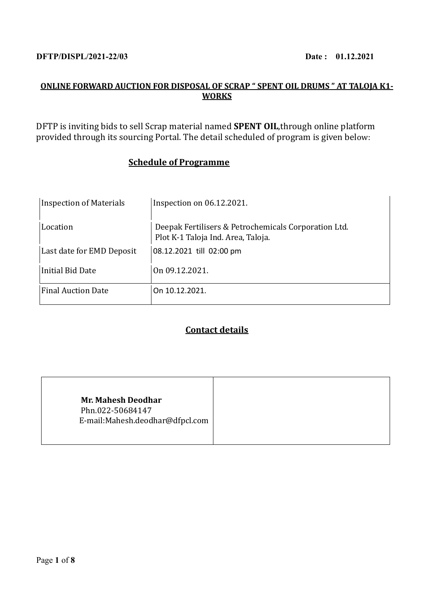### **DFTP/DISPL/2021-22/03** Date: 01.12.2021

# **ONLINE FORWARD AUCTION FOR DISPOSAL OF SCRAP " SPENT OIL DRUMS " AT TALOJA K1- WORKS**

DFTP is inviting bids to sell Scrap material named **SPENT OIL**,through online platform provided through its sourcing Portal. The detail scheduled of program is given below:

# **Schedule of Programme**

| <b>Inspection of Materials</b> | Inspection on $06.12.2021$ .                                                               |
|--------------------------------|--------------------------------------------------------------------------------------------|
| Location                       | Deepak Fertilisers & Petrochemicals Corporation Ltd.<br>Plot K-1 Taloja Ind. Area, Taloja. |
| Last date for EMD Deposit      | 08.12.2021 till 02:00 pm                                                                   |
| Initial Bid Date               | On 09.12.2021.                                                                             |
| <b>Final Auction Date</b>      | On 10.12.2021.                                                                             |

## **Contact details**

|--|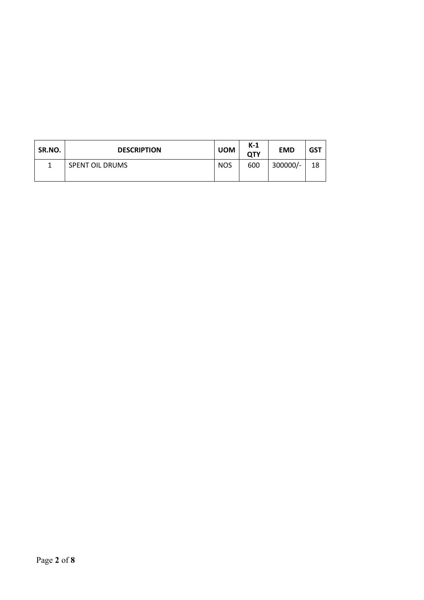| SR.NO. | <b>DESCRIPTION</b>     | <b>UOM</b> | $K-1$<br>QTY | <b>EMD</b> | GST |
|--------|------------------------|------------|--------------|------------|-----|
|        | <b>SPENT OIL DRUMS</b> | <b>NOS</b> | 600          | 300000/-   | 18  |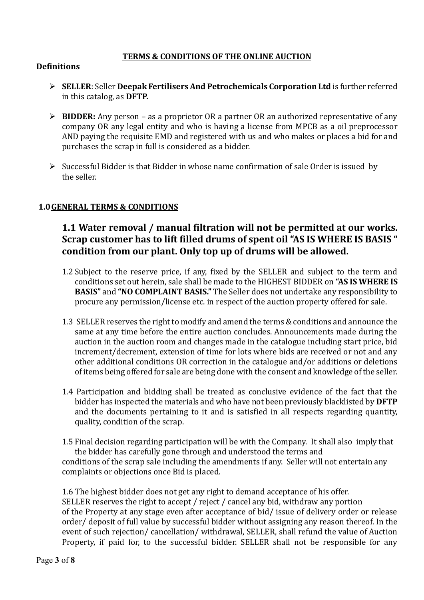## **TERMS & CONDITIONS OF THE ONLINE AUCTION**

### **Definitions**

- ➢ **SELLER**: Seller **Deepak Fertilisers And Petrochemicals Corporation Ltd** is further referred in this catalog, as **DFTP.**
- ➢ **BIDDER:** Any person as a proprietor OR a partner OR an authorized representative of any company OR any legal entity and who is having a license from MPCB as a oil preprocessor AND paying the requisite EMD and registered with us and who makes or places a bid for and purchases the scrap in full is considered as a bidder.
- ➢ Successful Bidder is that Bidder in whose name confirmation of sale Order is issued by the seller.

## **1.0GENERAL TERMS & CONDITIONS**

# **1.1 Water removal / manual filtration will not be permitted at our works. Scrap customer has to lift filled drums of spent oil "AS IS WHERE IS BASIS " condition from our plant. Only top up of drums will be allowed.**

- 1.2 Subject to the reserve price, if any, fixed by the SELLER and subject to the term and conditions set out herein, sale shall be made to the HIGHEST BIDDER on **"AS IS WHERE IS BASIS"** and **"NO COMPLAINT BASIS."** The Seller does not undertake any responsibility to procure any permission/license etc. in respect of the auction property offered for sale.
- 1.3 SELLER reserves the right to modify and amend the terms & conditions and announce the same at any time before the entire auction concludes. Announcements made during the auction in the auction room and changes made in the catalogue including start price, bid increment/decrement, extension of time for lots where bids are received or not and any other additional conditions OR correction in the catalogue and/or additions or deletions of items being offered for sale are being done with the consent and knowledge of the seller.
- 1.4 Participation and bidding shall be treated as conclusive evidence of the fact that the bidder has inspected the materials and who have not been previously blacklisted by **DFTP** and the documents pertaining to it and is satisfied in all respects regarding quantity, quality, condition of the scrap.
- 1.5 Final decision regarding participation will be with the Company. It shall also imply that the bidder has carefully gone through and understood the terms and

conditions of the scrap sale including the amendments if any. Seller will not entertain any complaints or objections once Bid is placed.

1.6 The highest bidder does not get any right to demand acceptance of his offer. SELLER reserves the right to accept / reject / cancel any bid, withdraw any portion of the Property at any stage even after acceptance of bid/ issue of delivery order or release order/ deposit of full value by successful bidder without assigning any reason thereof. In the event of such rejection/ cancellation/ withdrawal, SELLER, shall refund the value of Auction Property, if paid for, to the successful bidder. SELLER shall not be responsible for any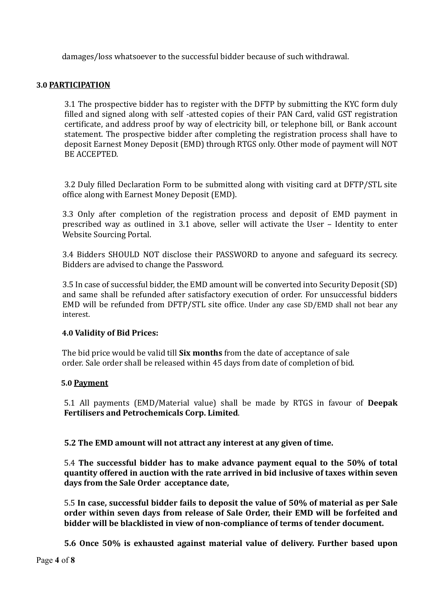damages/loss whatsoever to the successful bidder because of such withdrawal.

#### **3.0 PARTICIPATION**

3.1 The prospective bidder has to register with the DFTP by submitting the KYC form duly filled and signed along with self -attested copies of their PAN Card, valid GST registration certificate, and address proof by way of electricity bill, or telephone bill, or Bank account statement. The prospective bidder after completing the registration process shall have to deposit Earnest Money Deposit (EMD) through RTGS only. Other mode of payment will NOT BE ACCEPTED.

3.2 Duly filled Declaration Form to be submitted along with visiting card at DFTP/STL site office along with Earnest Money Deposit (EMD).

3.3 Only after completion of the registration process and deposit of EMD payment in prescribed way as outlined in 3.1 above, seller will activate the User – Identity to enter Website Sourcing Portal.

3.4 Bidders SHOULD NOT disclose their PASSWORD to anyone and safeguard its secrecy. Bidders are advised to change the Password.

3.5 In case of successful bidder, the EMD amount will be converted into Security Deposit (SD) and same shall be refunded after satisfactory execution of order. For unsuccessful bidders EMD will be refunded from DFTP/STL site office. Under any case SD/EMD shall not bear any interest.

#### **4.0 Validity of Bid Prices:**

 The bid price would be valid till **Six months** from the date of acceptance of sale order. Sale order shall be released within 45 days from date of completion of bid.

#### **5.0 Payment**

5.1 All payments (EMD/Material value) shall be made by RTGS in favour of **Deepak Fertilisers and Petrochemicals Corp. Limited**.

**5.2 The EMD amount will not attract any interest at any given of time.**

5.4 **The successful bidder has to make advance payment equal to the 50% of total quantity offered in auction with the rate arrived in bid inclusive of taxes within seven days from the Sale Order acceptance date,** 

5.5 **In case, successful bidder fails to deposit the value of 50% of material as per Sale order within seven days from release of Sale Order, their EMD will be forfeited and bidder will be blacklisted in view of non-compliance of terms of tender document.**

**5.6 Once 50% is exhausted against material value of delivery. Further based upon**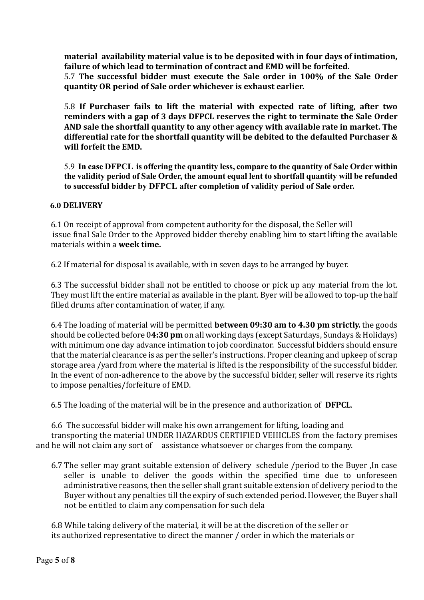**material availability material value is to be deposited with in four days of intimation, failure of which lead to termination of contract and EMD will be forfeited.**

5.7 **The successful bidder must execute the Sale order in 100% of the Sale Order quantity OR period of Sale order whichever is exhaust earlier.**

5.8 **If Purchaser fails to lift the material with expected rate of lifting, after two reminders with a gap of 3 days DFPCL reserves the right to terminate the Sale Order AND sale the shortfall quantity to any other agency with available rate in market. The differential rate for the shortfall quantity will be debited to the defaulted Purchaser & will forfeit the EMD.** 

5.9 **In case DFPCL is offering the quantity less, compare to the quantity of Sale Order within the validity period of Sale Order, the amount equal lent to shortfall quantity will be refunded to successful bidder by DFPCL after completion of validity period of Sale order.** 

### **6.0 DELIVERY**

6.1 On receipt of approval from competent authority for the disposal, the Seller will issue final Sale Order to the Approved bidder thereby enabling him to start lifting the available materials within a **week time.**

6.2 If material for disposal is available, with in seven days to be arranged by buyer.

6.3 The successful bidder shall not be entitled to choose or pick up any material from the lot. They must lift the entire material as available in the plant. Byer will be allowed to top-up the half filled drums after contamination of water, if any.

6.4 The loading of material will be permitted **between 09:30 am to 4.30 pm strictly.** the goods should be collected before 0**4:30 pm** on all working days (except Saturdays, Sundays & Holidays) with minimum one day advance intimation to job coordinator. Successful bidders should ensure that the material clearance is as per the seller's instructions. Proper cleaning and upkeep of scrap storage area /yard from where the material is lifted is the responsibility of the successful bidder. In the event of non-adherence to the above by the successful bidder, seller will reserve its rights to impose penalties/forfeiture of EMD.

6.5 The loading of the material will be in the presence and authorization of **DFPCL**.

6.6 The successful bidder will make his own arrangement for lifting, loading and transporting the material UNDER HAZARDUS CERTIFIED VEHICLES from the factory premises and he will not claim any sort of assistance whatsoever or charges from the company.

6.7 The seller may grant suitable extension of delivery schedule /period to the Buyer ,In case seller is unable to deliver the goods within the specified time due to unforeseen administrative reasons, then the seller shall grant suitable extension of delivery period to the Buyer without any penalties till the expiry of such extended period. However, the Buyer shall not be entitled to claim any compensation for such dela

6.8 While taking delivery of the material, it will be at the discretion of the seller or its authorized representative to direct the manner / order in which the materials or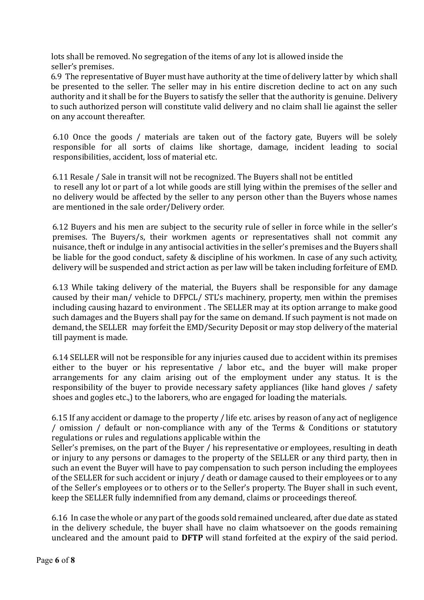lots shall be removed. No segregation of the items of any lot is allowed inside the seller's premises.

6.9 The representative of Buyer must have authority at the time of delivery latter by which shall be presented to the seller. The seller may in his entire discretion decline to act on any such authority and it shall be for the Buyers to satisfy the seller that the authority is genuine. Delivery to such authorized person will constitute valid delivery and no claim shall lie against the seller on any account thereafter.

6.10 Once the goods / materials are taken out of the factory gate, Buyers will be solely responsible for all sorts of claims like shortage, damage, incident leading to social responsibilities, accident, loss of material etc.

6.11 Resale / Sale in transit will not be recognized. The Buyers shall not be entitled to resell any lot or part of a lot while goods are still lying within the premises of the seller and no delivery would be affected by the seller to any person other than the Buyers whose names are mentioned in the sale order/Delivery order.

6.12 Buyers and his men are subject to the security rule of seller in force while in the seller's premises. The Buyers/s, their workmen agents or representatives shall not commit any nuisance, theft or indulge in any antisocial activities in the seller's premises and the Buyers shall be liable for the good conduct, safety & discipline of his workmen. In case of any such activity, delivery will be suspended and strict action as per law will be taken including forfeiture of EMD.

6.13 While taking delivery of the material, the Buyers shall be responsible for any damage caused by their man/ vehicle to DFPCL/ STL's machinery, property, men within the premises including causing hazard to environment . The SELLER may at its option arrange to make good such damages and the Buyers shall pay for the same on demand. If such payment is not made on demand, the SELLER may forfeit the EMD/Security Deposit or may stop delivery of the material till payment is made.

6.14 SELLER will not be responsible for any injuries caused due to accident within its premises either to the buyer or his representative / labor etc., and the buyer will make proper arrangements for any claim arising out of the employment under any status. It is the responsibility of the buyer to provide necessary safety appliances (like hand gloves / safety shoes and gogles etc.,) to the laborers, who are engaged for loading the materials.

6.15 If any accident or damage to the property / life etc. arises by reason of any act of negligence / omission / default or non-compliance with any of the Terms & Conditions or statutory regulations or rules and regulations applicable within the

Seller's premises, on the part of the Buyer / his representative or employees, resulting in death or injury to any persons or damages to the property of the SELLER or any third party, then in such an event the Buyer will have to pay compensation to such person including the employees of the SELLER for such accident or injury / death or damage caused to their employees or to any of the Seller's employees or to others or to the Seller's property. The Buyer shall in such event, keep the SELLER fully indemnified from any demand, claims or proceedings thereof.

6.16 In case the whole or any part of the goods sold remained uncleared, after due date as stated in the delivery schedule, the buyer shall have no claim whatsoever on the goods remaining uncleared and the amount paid to **DFTP** will stand forfeited at the expiry of the said period.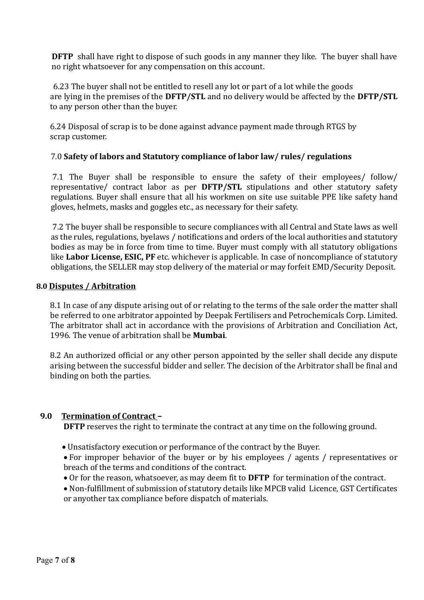**DFTP** shall have right to dispose of such goods in any manner they like. The buyer shall have no right whatsoever for any compensation on this account.

6.23 The buyer shall not be entitled to resell any lot or part of a lot while the goods are lying in the premises of the **DFTP/STL** and no delivery would be affected by the **DFTP/STL**  to any person other than the buyer.

6.24 Disposal of scrap is to be done against advance payment made through RTGS by scrap customer.

## 7.0 **Safety of labors and Statutory compliance of labor law/ rules/ regulations**

7.1 The Buyer shall be responsible to ensure the safety of their employees/ follow/ representative/ contract labor as per **DFTP/STL** stipulations and other statutory safety regulations. Buyer shall ensure that all his workmen on site use suitable PPE like safety hand gloves, helmets, masks and goggles etc., as necessary for their safety.

7.2 The buyer shall be responsible to secure compliances with all Central and State laws as well as the rules, regulations, byelaws / notifications and orders of the local authorities and statutory bodies as may be in force from time to time. Buyer must comply with all statutory obligations like **Labor License, ESIC, PF** etc. whichever is applicable. In case of noncompliance of statutory obligations, the SELLER may stop delivery of the material or may forfeit EMD/Security Deposit.

### **8.0 Disputes / Arbitration**

8.1 In case of any dispute arising out of or relating to the terms of the sale order the matter shall be referred to one arbitrator appointed by Deepak Fertilisers and Petrochemicals Corp. Limited. The arbitrator shall act in accordance with the provisions of Arbitration and Conciliation Act, 1996. The venue of arbitration shall be **Mumbai**.

8.2 An authorized official or any other person appointed by the seller shall decide any dispute arising between the successful bidder and seller. The decision of the Arbitrator shall be final and binding on both the parties.

## **9.0 Termination of Contract –**

**DFTP** reserves the right to terminate the contract at any time on the following ground.

- Unsatisfactory execution or performance of the contract by the Buyer.
- For improper behavior of the buyer or by his employees / agents / representatives or breach of the terms and conditions of the contract.
- Or for the reason, whatsoever, as may deem fit to **DFTP** for termination of the contract.
- Non-fulfillment of submission of statutory details like MPCB valid Licence, GST Certificates or anyother tax compliance before dispatch of materials.